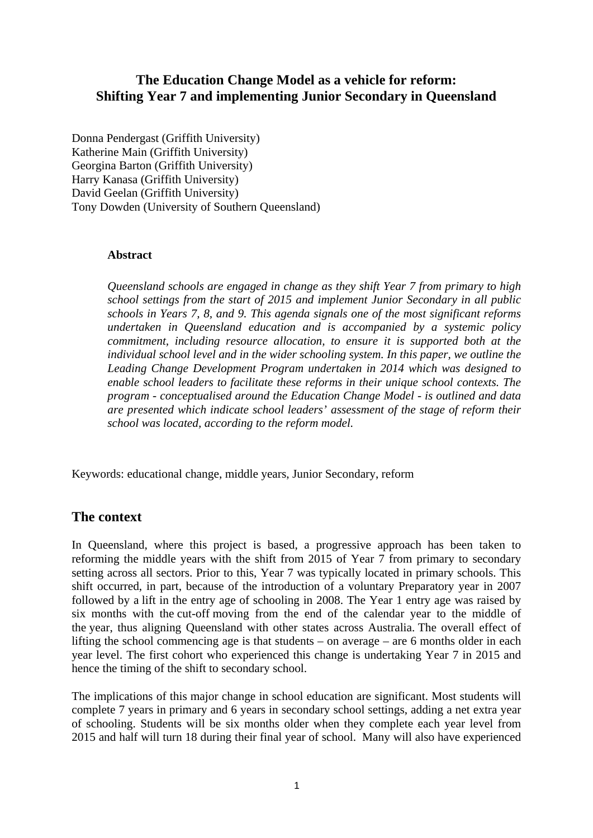# **The Education Change Model as a vehicle for reform: Shifting Year 7 and implementing Junior Secondary in Queensland**

Donna Pendergast (Griffith University) Katherine Main (Griffith University) Georgina Barton (Griffith University) Harry Kanasa (Griffith University) David Geelan (Griffith University) Tony Dowden (University of Southern Queensland)

#### **Abstract**

*Queensland schools are engaged in change as they shift Year 7 from primary to high school settings from the start of 2015 and implement Junior Secondary in all public schools in Years 7, 8, and 9. This agenda signals one of the most significant reforms undertaken in Queensland education and is accompanied by a systemic policy commitment, including resource allocation, to ensure it is supported both at the individual school level and in the wider schooling system. In this paper, we outline the Leading Change Development Program undertaken in 2014 which was designed to enable school leaders to facilitate these reforms in their unique school contexts. The program - conceptualised around the Education Change Model - is outlined and data are presented which indicate school leaders' assessment of the stage of reform their school was located, according to the reform model.* 

Keywords: educational change, middle years, Junior Secondary, reform

# **The context**

In Queensland, where this project is based, a progressive approach has been taken to reforming the middle years with the shift from 2015 of Year 7 from primary to secondary setting across all sectors. Prior to this, Year 7 was typically located in primary schools. This shift occurred, in part, because of the introduction of a voluntary Preparatory year in 2007 followed by a lift in the entry age of schooling in 2008. The Year 1 entry age was raised by six months with the cut-off moving from the end of the calendar year to the middle of the year, thus aligning Queensland with other states across Australia. The overall effect of lifting the school commencing age is that students – on average – are 6 months older in each year level. The first cohort who experienced this change is undertaking Year 7 in 2015 and hence the timing of the shift to secondary school.

The implications of this major change in school education are significant. Most students will complete 7 years in primary and 6 years in secondary school settings, adding a net extra year of schooling. Students will be six months older when they complete each year level from 2015 and half will turn 18 during their final year of school. Many will also have experienced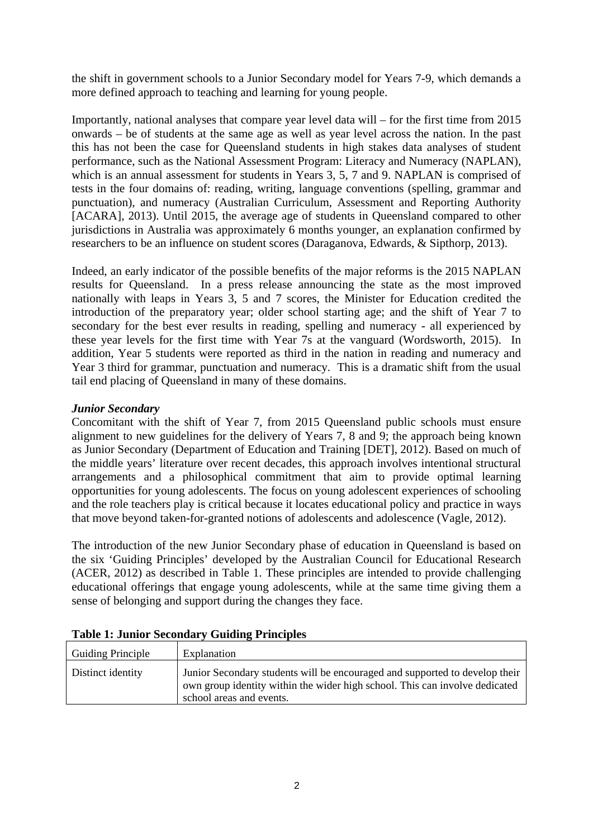the shift in government schools to a Junior Secondary model for Years 7-9, which demands a more defined approach to teaching and learning for young people.

Importantly, national analyses that compare year level data will – for the first time from 2015 onwards – be of students at the same age as well as year level across the nation. In the past this has not been the case for Queensland students in high stakes data analyses of student performance, such as the National Assessment Program: Literacy and Numeracy (NAPLAN), which is an annual assessment for students in Years 3, 5, 7 and 9. NAPLAN is comprised of tests in the four domains of: reading, writing, language conventions (spelling, grammar and punctuation), and numeracy (Australian Curriculum, Assessment and Reporting Authority [ACARA], 2013). Until 2015, the average age of students in Queensland compared to other jurisdictions in Australia was approximately 6 months younger, an explanation confirmed by researchers to be an influence on student scores (Daraganova, Edwards, & Sipthorp, 2013).

Indeed, an early indicator of the possible benefits of the major reforms is the 2015 NAPLAN results for Queensland. In a press release announcing the state as the most improved nationally with leaps in Years 3, 5 and 7 scores, the Minister for Education credited the introduction of the preparatory year; older school starting age; and the shift of Year 7 to secondary for the best ever results in reading, spelling and numeracy - all experienced by these year levels for the first time with Year 7s at the vanguard (Wordsworth, 2015). In addition, Year 5 students were reported as third in the nation in reading and numeracy and Year 3 third for grammar, punctuation and numeracy. This is a dramatic shift from the usual tail end placing of Queensland in many of these domains.

## *Junior Secondary*

Concomitant with the shift of Year 7, from 2015 Queensland public schools must ensure alignment to new guidelines for the delivery of Years 7, 8 and 9; the approach being known as Junior Secondary (Department of Education and Training [DET], 2012). Based on much of the middle years' literature over recent decades, this approach involves intentional structural arrangements and a philosophical commitment that aim to provide optimal learning opportunities for young adolescents. The focus on young adolescent experiences of schooling and the role teachers play is critical because it locates educational policy and practice in ways that move beyond taken-for-granted notions of adolescents and adolescence (Vagle, 2012).

The introduction of the new Junior Secondary phase of education in Queensland is based on the six 'Guiding Principles' developed by the Australian Council for Educational Research (ACER, 2012) as described in Table 1. These principles are intended to provide challenging educational offerings that engage young adolescents, while at the same time giving them a sense of belonging and support during the changes they face.

| <b>Guiding Principle</b> | Explanation                                                                                                                                                                            |
|--------------------------|----------------------------------------------------------------------------------------------------------------------------------------------------------------------------------------|
| Distinct identity        | Junior Secondary students will be encouraged and supported to develop their<br>own group identity within the wider high school. This can involve dedicated<br>school areas and events. |

|  | <b>Table 1: Junior Secondary Guiding Principles</b> |  |
|--|-----------------------------------------------------|--|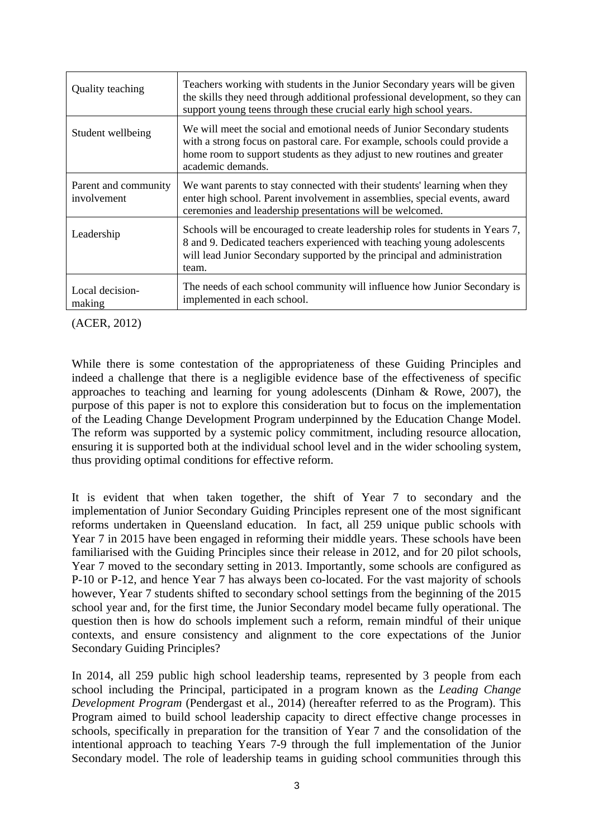| Quality teaching                    | Teachers working with students in the Junior Secondary years will be given<br>the skills they need through additional professional development, so they can<br>support young teens through these crucial early high school years.                       |
|-------------------------------------|---------------------------------------------------------------------------------------------------------------------------------------------------------------------------------------------------------------------------------------------------------|
| Student wellbeing                   | We will meet the social and emotional needs of Junior Secondary students<br>with a strong focus on pastoral care. For example, schools could provide a<br>home room to support students as they adjust to new routines and greater<br>academic demands. |
| Parent and community<br>involvement | We want parents to stay connected with their students' learning when they<br>enter high school. Parent involvement in assemblies, special events, award<br>ceremonies and leadership presentations will be welcomed.                                    |
| Leadership                          | Schools will be encouraged to create leadership roles for students in Years 7,<br>8 and 9. Dedicated teachers experienced with teaching young adolescents<br>will lead Junior Secondary supported by the principal and administration<br>team.          |
| Local decision-<br>making           | The needs of each school community will influence how Junior Secondary is<br>implemented in each school.                                                                                                                                                |

#### (ACER, 2012)

While there is some contestation of the appropriateness of these Guiding Principles and indeed a challenge that there is a negligible evidence base of the effectiveness of specific approaches to teaching and learning for young adolescents (Dinham & Rowe, 2007), the purpose of this paper is not to explore this consideration but to focus on the implementation of the Leading Change Development Program underpinned by the Education Change Model. The reform was supported by a systemic policy commitment, including resource allocation, ensuring it is supported both at the individual school level and in the wider schooling system, thus providing optimal conditions for effective reform.

It is evident that when taken together, the shift of Year 7 to secondary and the implementation of Junior Secondary Guiding Principles represent one of the most significant reforms undertaken in Queensland education. In fact, all 259 unique public schools with Year 7 in 2015 have been engaged in reforming their middle years. These schools have been familiarised with the Guiding Principles since their release in 2012, and for 20 pilot schools, Year 7 moved to the secondary setting in 2013. Importantly, some schools are configured as P-10 or P-12, and hence Year 7 has always been co-located. For the vast majority of schools however, Year 7 students shifted to secondary school settings from the beginning of the 2015 school year and, for the first time, the Junior Secondary model became fully operational. The question then is how do schools implement such a reform, remain mindful of their unique contexts, and ensure consistency and alignment to the core expectations of the Junior Secondary Guiding Principles?

In 2014, all 259 public high school leadership teams, represented by 3 people from each school including the Principal, participated in a program known as the *Leading Change Development Program* (Pendergast et al., 2014) (hereafter referred to as the Program). This Program aimed to build school leadership capacity to direct effective change processes in schools, specifically in preparation for the transition of Year 7 and the consolidation of the intentional approach to teaching Years 7-9 through the full implementation of the Junior Secondary model. The role of leadership teams in guiding school communities through this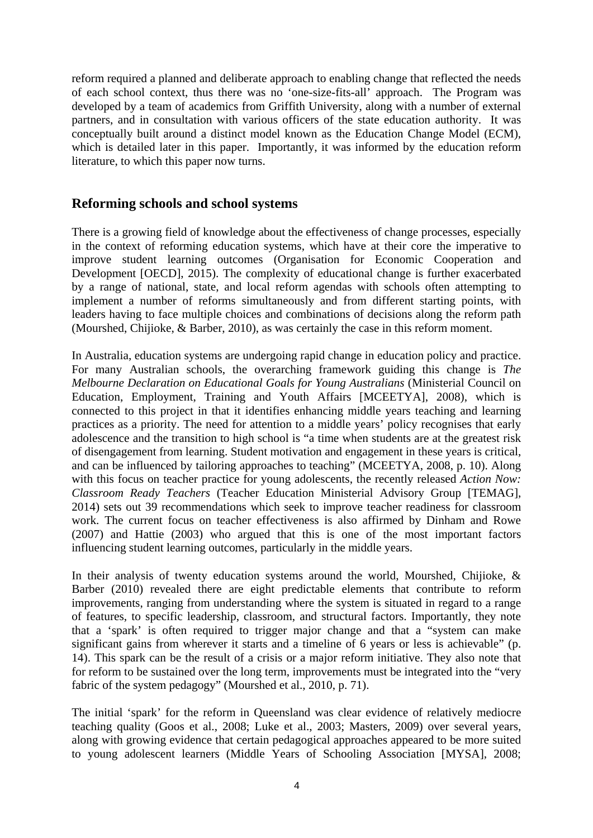reform required a planned and deliberate approach to enabling change that reflected the needs of each school context, thus there was no 'one-size-fits-all' approach. The Program was developed by a team of academics from Griffith University, along with a number of external partners, and in consultation with various officers of the state education authority. It was conceptually built around a distinct model known as the Education Change Model (ECM), which is detailed later in this paper. Importantly, it was informed by the education reform literature, to which this paper now turns.

# **Reforming schools and school systems**

There is a growing field of knowledge about the effectiveness of change processes, especially in the context of reforming education systems, which have at their core the imperative to improve student learning outcomes (Organisation for Economic Cooperation and Development [OECD], 2015). The complexity of educational change is further exacerbated by a range of national, state, and local reform agendas with schools often attempting to implement a number of reforms simultaneously and from different starting points, with leaders having to face multiple choices and combinations of decisions along the reform path (Mourshed, Chijioke, & Barber, 2010), as was certainly the case in this reform moment.

In Australia, education systems are undergoing rapid change in education policy and practice. For many Australian schools, the overarching framework guiding this change is *The Melbourne Declaration on Educational Goals for Young Australians* (Ministerial Council on Education, Employment, Training and Youth Affairs [MCEETYA], 2008), which is connected to this project in that it identifies enhancing middle years teaching and learning practices as a priority. The need for attention to a middle years' policy recognises that early adolescence and the transition to high school is "a time when students are at the greatest risk of disengagement from learning. Student motivation and engagement in these years is critical, and can be influenced by tailoring approaches to teaching" (MCEETYA, 2008, p. 10). Along with this focus on teacher practice for young adolescents, the recently released *Action Now: Classroom Ready Teachers* (Teacher Education Ministerial Advisory Group [TEMAG], 2014) sets out 39 recommendations which seek to improve teacher readiness for classroom work. The current focus on teacher effectiveness is also affirmed by Dinham and Rowe (2007) and Hattie (2003) who argued that this is one of the most important factors influencing student learning outcomes, particularly in the middle years.

In their analysis of twenty education systems around the world, Mourshed, Chijioke, & Barber (2010) revealed there are eight predictable elements that contribute to reform improvements, ranging from understanding where the system is situated in regard to a range of features, to specific leadership, classroom, and structural factors. Importantly, they note that a 'spark' is often required to trigger major change and that a "system can make significant gains from wherever it starts and a timeline of 6 years or less is achievable" (p. 14). This spark can be the result of a crisis or a major reform initiative. They also note that for reform to be sustained over the long term, improvements must be integrated into the "very fabric of the system pedagogy" (Mourshed et al., 2010, p. 71).

The initial 'spark' for the reform in Queensland was clear evidence of relatively mediocre teaching quality (Goos et al., 2008; Luke et al., 2003; Masters, 2009) over several years, along with growing evidence that certain pedagogical approaches appeared to be more suited to young adolescent learners (Middle Years of Schooling Association [MYSA], 2008;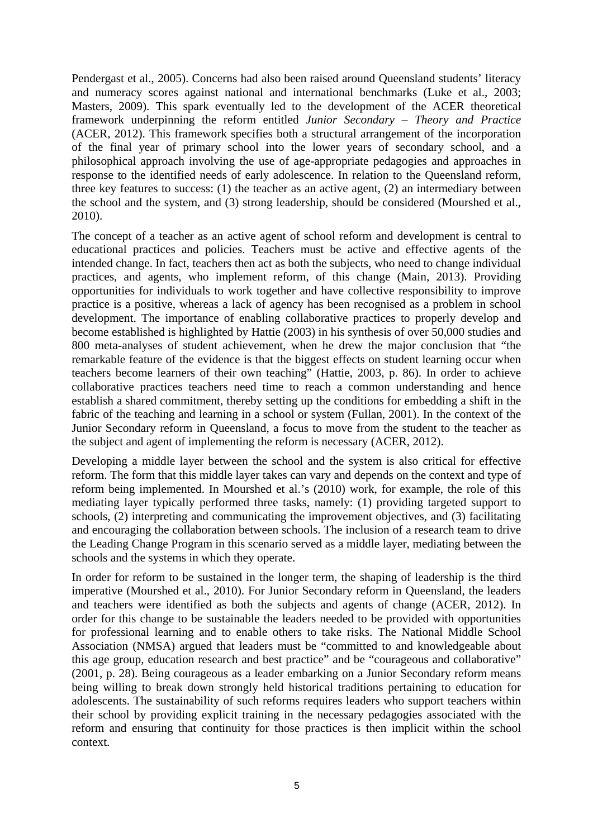Pendergast et al., 2005). Concerns had also been raised around Queensland students' literacy and numeracy scores against national and international benchmarks (Luke et al., 2003; Masters, 2009). This spark eventually led to the development of the ACER theoretical framework underpinning the reform entitled *Junior Secondary – Theory and Practice* (ACER, 2012). This framework specifies both a structural arrangement of the incorporation of the final year of primary school into the lower years of secondary school, and a philosophical approach involving the use of age-appropriate pedagogies and approaches in response to the identified needs of early adolescence. In relation to the Queensland reform, three key features to success: (1) the teacher as an active agent, (2) an intermediary between the school and the system, and (3) strong leadership, should be considered (Mourshed et al., 2010).

The concept of a teacher as an active agent of school reform and development is central to educational practices and policies. Teachers must be active and effective agents of the intended change. In fact, teachers then act as both the subjects, who need to change individual practices, and agents, who implement reform, of this change (Main, 2013). Providing opportunities for individuals to work together and have collective responsibility to improve practice is a positive, whereas a lack of agency has been recognised as a problem in school development. The importance of enabling collaborative practices to properly develop and become established is highlighted by Hattie (2003) in his synthesis of over 50,000 studies and 800 meta-analyses of student achievement, when he drew the major conclusion that "the remarkable feature of the evidence is that the biggest effects on student learning occur when teachers become learners of their own teaching" (Hattie, 2003, p. 86). In order to achieve collaborative practices teachers need time to reach a common understanding and hence establish a shared commitment, thereby setting up the conditions for embedding a shift in the fabric of the teaching and learning in a school or system (Fullan, 2001). In the context of the Junior Secondary reform in Queensland, a focus to move from the student to the teacher as the subject and agent of implementing the reform is necessary (ACER, 2012).

Developing a middle layer between the school and the system is also critical for effective reform. The form that this middle layer takes can vary and depends on the context and type of reform being implemented. In Mourshed et al.'s (2010) work, for example, the role of this mediating layer typically performed three tasks, namely: (1) providing targeted support to schools, (2) interpreting and communicating the improvement objectives, and (3) facilitating and encouraging the collaboration between schools. The inclusion of a research team to drive the Leading Change Program in this scenario served as a middle layer, mediating between the schools and the systems in which they operate.

In order for reform to be sustained in the longer term, the shaping of leadership is the third imperative (Mourshed et al., 2010). For Junior Secondary reform in Queensland, the leaders and teachers were identified as both the subjects and agents of change (ACER, 2012). In order for this change to be sustainable the leaders needed to be provided with opportunities for professional learning and to enable others to take risks. The National Middle School Association (NMSA) argued that leaders must be "committed to and knowledgeable about this age group, education research and best practice" and be "courageous and collaborative" (2001, p. 28). Being courageous as a leader embarking on a Junior Secondary reform means being willing to break down strongly held historical traditions pertaining to education for adolescents. The sustainability of such reforms requires leaders who support teachers within their school by providing explicit training in the necessary pedagogies associated with the reform and ensuring that continuity for those practices is then implicit within the school context.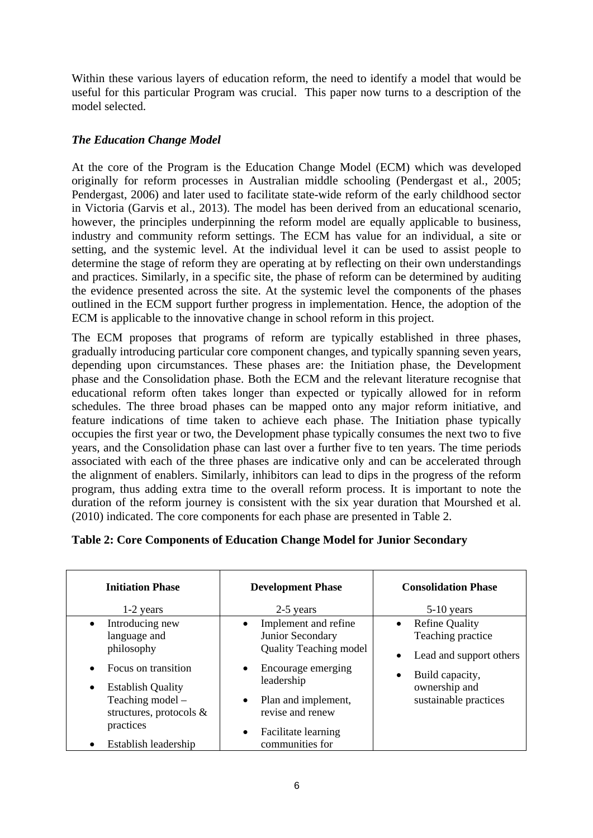Within these various layers of education reform, the need to identify a model that would be useful for this particular Program was crucial. This paper now turns to a description of the model selected.

## *The Education Change Model*

At the core of the Program is the Education Change Model (ECM) which was developed originally for reform processes in Australian middle schooling (Pendergast et al., 2005; Pendergast, 2006) and later used to facilitate state-wide reform of the early childhood sector in Victoria (Garvis et al., 2013). The model has been derived from an educational scenario, however, the principles underpinning the reform model are equally applicable to business, industry and community reform settings. The ECM has value for an individual, a site or setting, and the systemic level. At the individual level it can be used to assist people to determine the stage of reform they are operating at by reflecting on their own understandings and practices. Similarly, in a specific site, the phase of reform can be determined by auditing the evidence presented across the site. At the systemic level the components of the phases outlined in the ECM support further progress in implementation. Hence, the adoption of the ECM is applicable to the innovative change in school reform in this project.

The ECM proposes that programs of reform are typically established in three phases, gradually introducing particular core component changes, and typically spanning seven years, depending upon circumstances. These phases are: the Initiation phase, the Development phase and the Consolidation phase. Both the ECM and the relevant literature recognise that educational reform often takes longer than expected or typically allowed for in reform schedules. The three broad phases can be mapped onto any major reform initiative, and feature indications of time taken to achieve each phase. The Initiation phase typically occupies the first year or two, the Development phase typically consumes the next two to five years, and the Consolidation phase can last over a further five to ten years. The time periods associated with each of the three phases are indicative only and can be accelerated through the alignment of enablers. Similarly, inhibitors can lead to dips in the progress of the reform program, thus adding extra time to the overall reform process. It is important to note the duration of the reform journey is consistent with the six year duration that Mourshed et al. (2010) indicated. The core components for each phase are presented in Table 2.

| <b>Initiation Phase</b>                                                                                                                                                                                                     | <b>Development Phase</b>                                                                                                                                                                                                                               | <b>Consolidation Phase</b>                                                                                                                      |  |  |
|-----------------------------------------------------------------------------------------------------------------------------------------------------------------------------------------------------------------------------|--------------------------------------------------------------------------------------------------------------------------------------------------------------------------------------------------------------------------------------------------------|-------------------------------------------------------------------------------------------------------------------------------------------------|--|--|
| 1-2 years                                                                                                                                                                                                                   | 2-5 years                                                                                                                                                                                                                                              | $5-10$ years                                                                                                                                    |  |  |
| Introducing new<br>$\bullet$<br>language and<br>philosophy<br>Focus on transition<br>$\bullet$<br><b>Establish Quality</b><br>$\bullet$<br>Teaching model -<br>structures, protocols &<br>practices<br>Establish leadership | Implement and refine<br>$\bullet$<br>Junior Secondary<br><b>Quality Teaching model</b><br>Encourage emerging<br>$\bullet$<br>leadership<br>Plan and implement,<br>$\bullet$<br>revise and renew<br>Facilitate learning<br>$\bullet$<br>communities for | <b>Refine Quality</b><br>Teaching practice<br>Lead and support others<br>Build capacity,<br>$\bullet$<br>ownership and<br>sustainable practices |  |  |

## **Table 2: Core Components of Education Change Model for Junior Secondary**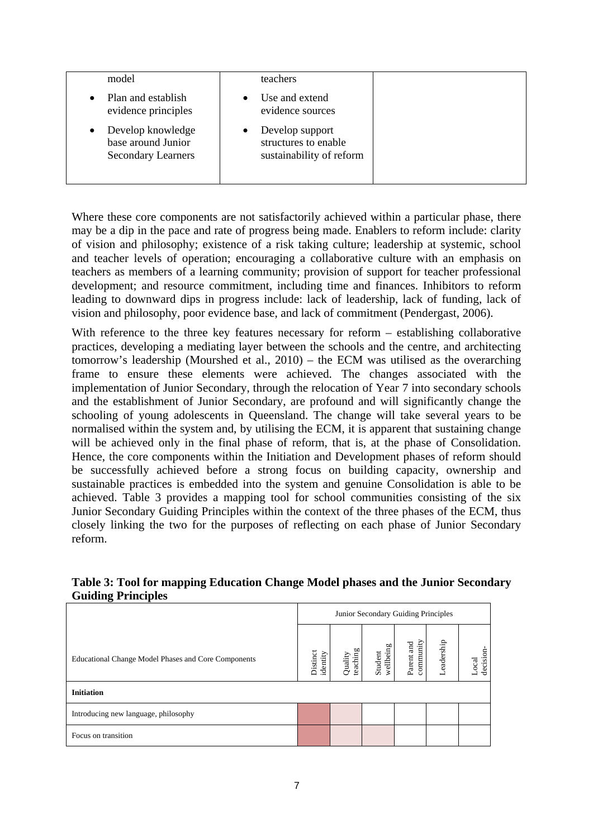| model                                                                             | teachers                                                            |  |
|-----------------------------------------------------------------------------------|---------------------------------------------------------------------|--|
| Plan and establish<br>evidence principles                                         | Use and extend<br>evidence sources                                  |  |
| Develop knowledge<br>$\bullet$<br>base around Junior<br><b>Secondary Learners</b> | Develop support<br>structures to enable<br>sustainability of reform |  |

Where these core components are not satisfactorily achieved within a particular phase, there may be a dip in the pace and rate of progress being made. Enablers to reform include: clarity of vision and philosophy; existence of a risk taking culture; leadership at systemic, school and teacher levels of operation; encouraging a collaborative culture with an emphasis on teachers as members of a learning community; provision of support for teacher professional development; and resource commitment, including time and finances. Inhibitors to reform leading to downward dips in progress include: lack of leadership, lack of funding, lack of vision and philosophy, poor evidence base, and lack of commitment (Pendergast, 2006).

With reference to the three key features necessary for reform – establishing collaborative practices, developing a mediating layer between the schools and the centre, and architecting tomorrow's leadership (Mourshed et al., 2010) – the ECM was utilised as the overarching frame to ensure these elements were achieved. The changes associated with the implementation of Junior Secondary, through the relocation of Year 7 into secondary schools and the establishment of Junior Secondary, are profound and will significantly change the schooling of young adolescents in Queensland. The change will take several years to be normalised within the system and, by utilising the ECM, it is apparent that sustaining change will be achieved only in the final phase of reform, that is, at the phase of Consolidation. Hence, the core components within the Initiation and Development phases of reform should be successfully achieved before a strong focus on building capacity, ownership and sustainable practices is embedded into the system and genuine Consolidation is able to be achieved. Table 3 provides a mapping tool for school communities consisting of the six Junior Secondary Guiding Principles within the context of the three phases of the ECM, thus closely linking the two for the purposes of reflecting on each phase of Junior Secondary reform.

| ຼ                                                   |                                     |                     |                      |                         |                |                    |
|-----------------------------------------------------|-------------------------------------|---------------------|----------------------|-------------------------|----------------|--------------------|
|                                                     | Junior Secondary Guiding Principles |                     |                      |                         |                |                    |
| Educational Change Model Phases and Core Components | Distinct<br>identity                | teaching<br>Quality | wellbeing<br>Student | community<br>Parent and | eadership<br>┙ | decision-<br>Local |
| <b>Initiation</b>                                   |                                     |                     |                      |                         |                |                    |
| Introducing new language, philosophy                |                                     |                     |                      |                         |                |                    |
| Focus on transition                                 |                                     |                     |                      |                         |                |                    |

## **Table 3: Tool for mapping Education Change Model phases and the Junior Secondary Guiding Principles**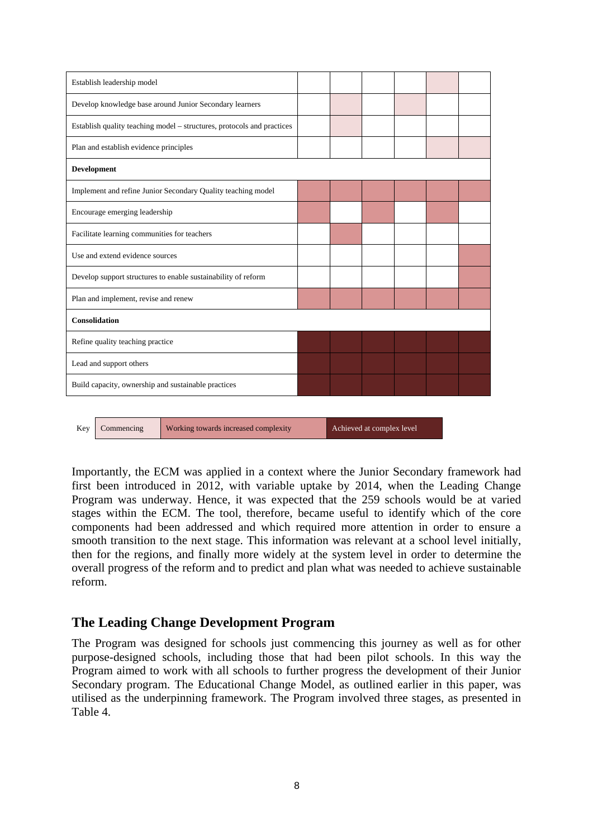|                                                                                        | Establish leadership model                          |                                                                        |  |  |  |  |  |  |
|----------------------------------------------------------------------------------------|-----------------------------------------------------|------------------------------------------------------------------------|--|--|--|--|--|--|
| Develop knowledge base around Junior Secondary learners                                |                                                     |                                                                        |  |  |  |  |  |  |
|                                                                                        |                                                     | Establish quality teaching model - structures, protocols and practices |  |  |  |  |  |  |
|                                                                                        | Plan and establish evidence principles              |                                                                        |  |  |  |  |  |  |
| Development                                                                            |                                                     |                                                                        |  |  |  |  |  |  |
|                                                                                        |                                                     | Implement and refine Junior Secondary Quality teaching model           |  |  |  |  |  |  |
|                                                                                        | Encourage emerging leadership                       |                                                                        |  |  |  |  |  |  |
|                                                                                        | Facilitate learning communities for teachers        |                                                                        |  |  |  |  |  |  |
|                                                                                        | Use and extend evidence sources                     |                                                                        |  |  |  |  |  |  |
|                                                                                        |                                                     | Develop support structures to enable sustainability of reform          |  |  |  |  |  |  |
|                                                                                        | Plan and implement, revise and renew                |                                                                        |  |  |  |  |  |  |
|                                                                                        | Consolidation                                       |                                                                        |  |  |  |  |  |  |
| Refine quality teaching practice                                                       |                                                     |                                                                        |  |  |  |  |  |  |
| Lead and support others                                                                |                                                     |                                                                        |  |  |  |  |  |  |
|                                                                                        | Build capacity, ownership and sustainable practices |                                                                        |  |  |  |  |  |  |
|                                                                                        |                                                     |                                                                        |  |  |  |  |  |  |
| Working towards increased complexity<br>Achieved at complex level<br>Commencing<br>Kev |                                                     |                                                                        |  |  |  |  |  |  |

Importantly, the ECM was applied in a context where the Junior Secondary framework had first been introduced in 2012, with variable uptake by 2014, when the Leading Change Program was underway. Hence, it was expected that the 259 schools would be at varied stages within the ECM. The tool, therefore, became useful to identify which of the core components had been addressed and which required more attention in order to ensure a smooth transition to the next stage. This information was relevant at a school level initially, then for the regions, and finally more widely at the system level in order to determine the overall progress of the reform and to predict and plan what was needed to achieve sustainable reform.

# **The Leading Change Development Program**

The Program was designed for schools just commencing this journey as well as for other purpose-designed schools, including those that had been pilot schools. In this way the Program aimed to work with all schools to further progress the development of their Junior Secondary program. The Educational Change Model, as outlined earlier in this paper, was utilised as the underpinning framework. The Program involved three stages, as presented in Table 4.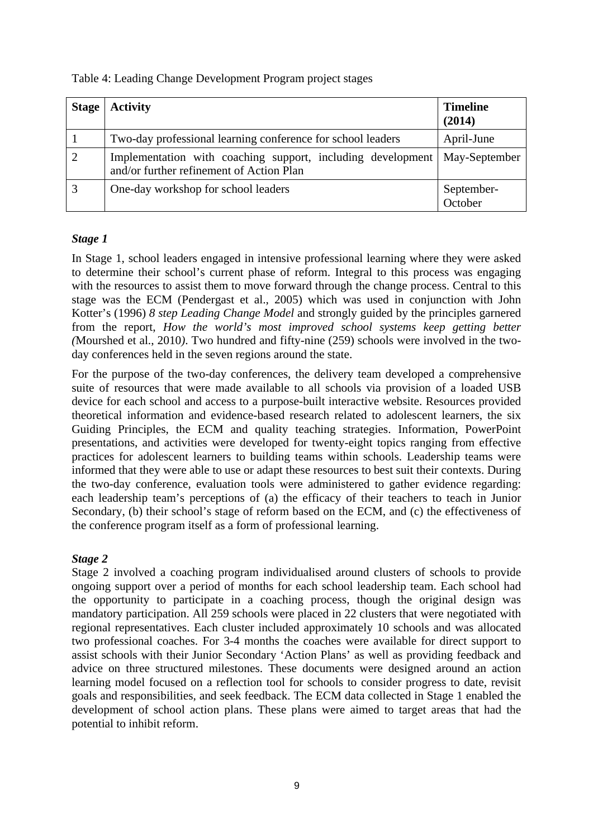| Table 4: Leading Change Development Program project stages |  |  |
|------------------------------------------------------------|--|--|
|                                                            |  |  |

| <b>Stage</b> | <b>Activity</b>                                                                                                         | <b>Timeline</b><br>(2014) |
|--------------|-------------------------------------------------------------------------------------------------------------------------|---------------------------|
|              | Two-day professional learning conference for school leaders                                                             | April-June                |
|              | Implementation with coaching support, including development   May-September<br>and/or further refinement of Action Plan |                           |
|              | One-day workshop for school leaders                                                                                     | September-<br>October     |

# *Stage 1*

In Stage 1, school leaders engaged in intensive professional learning where they were asked to determine their school's current phase of reform. Integral to this process was engaging with the resources to assist them to move forward through the change process. Central to this stage was the ECM (Pendergast et al., 2005) which was used in conjunction with John Kotter's (1996) *8 step Leading Change Model* and strongly guided by the principles garnered from the report, *How the world's most improved school systems keep getting better (*Mourshed et al., 2010*)*. Two hundred and fifty-nine (259) schools were involved in the twoday conferences held in the seven regions around the state.

For the purpose of the two-day conferences, the delivery team developed a comprehensive suite of resources that were made available to all schools via provision of a loaded USB device for each school and access to a purpose-built interactive website. Resources provided theoretical information and evidence-based research related to adolescent learners, the six Guiding Principles, the ECM and quality teaching strategies. Information, PowerPoint presentations, and activities were developed for twenty-eight topics ranging from effective practices for adolescent learners to building teams within schools. Leadership teams were informed that they were able to use or adapt these resources to best suit their contexts. During the two-day conference, evaluation tools were administered to gather evidence regarding: each leadership team's perceptions of (a) the efficacy of their teachers to teach in Junior Secondary, (b) their school's stage of reform based on the ECM, and (c) the effectiveness of the conference program itself as a form of professional learning.

## *Stage 2*

Stage 2 involved a coaching program individualised around clusters of schools to provide ongoing support over a period of months for each school leadership team. Each school had the opportunity to participate in a coaching process, though the original design was mandatory participation. All 259 schools were placed in 22 clusters that were negotiated with regional representatives. Each cluster included approximately 10 schools and was allocated two professional coaches. For 3-4 months the coaches were available for direct support to assist schools with their Junior Secondary 'Action Plans' as well as providing feedback and advice on three structured milestones. These documents were designed around an action learning model focused on a reflection tool for schools to consider progress to date, revisit goals and responsibilities, and seek feedback. The ECM data collected in Stage 1 enabled the development of school action plans. These plans were aimed to target areas that had the potential to inhibit reform.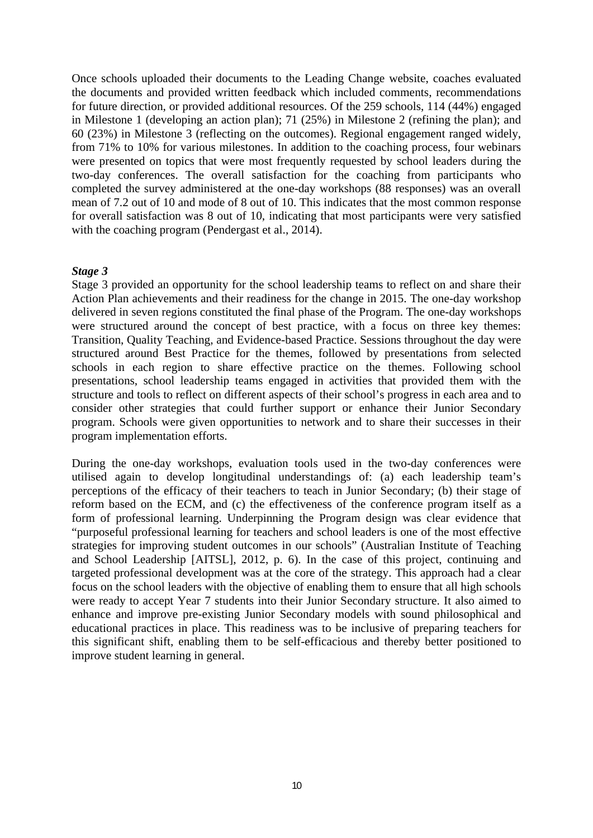Once schools uploaded their documents to the Leading Change website, coaches evaluated the documents and provided written feedback which included comments, recommendations for future direction, or provided additional resources. Of the 259 schools, 114 (44%) engaged in Milestone 1 (developing an action plan); 71 (25%) in Milestone 2 (refining the plan); and 60 (23%) in Milestone 3 (reflecting on the outcomes). Regional engagement ranged widely, from 71% to 10% for various milestones. In addition to the coaching process, four webinars were presented on topics that were most frequently requested by school leaders during the two-day conferences. The overall satisfaction for the coaching from participants who completed the survey administered at the one-day workshops (88 responses) was an overall mean of 7.2 out of 10 and mode of 8 out of 10. This indicates that the most common response for overall satisfaction was 8 out of 10, indicating that most participants were very satisfied with the coaching program (Pendergast et al., 2014).

#### *Stage 3*

Stage 3 provided an opportunity for the school leadership teams to reflect on and share their Action Plan achievements and their readiness for the change in 2015. The one-day workshop delivered in seven regions constituted the final phase of the Program. The one-day workshops were structured around the concept of best practice, with a focus on three key themes: Transition, Quality Teaching, and Evidence-based Practice. Sessions throughout the day were structured around Best Practice for the themes, followed by presentations from selected schools in each region to share effective practice on the themes. Following school presentations, school leadership teams engaged in activities that provided them with the structure and tools to reflect on different aspects of their school's progress in each area and to consider other strategies that could further support or enhance their Junior Secondary program. Schools were given opportunities to network and to share their successes in their program implementation efforts.

During the one-day workshops, evaluation tools used in the two-day conferences were utilised again to develop longitudinal understandings of: (a) each leadership team's perceptions of the efficacy of their teachers to teach in Junior Secondary; (b) their stage of reform based on the ECM, and (c) the effectiveness of the conference program itself as a form of professional learning. Underpinning the Program design was clear evidence that "purposeful professional learning for teachers and school leaders is one of the most effective strategies for improving student outcomes in our schools" (Australian Institute of Teaching and School Leadership [AITSL], 2012, p. 6). In the case of this project, continuing and targeted professional development was at the core of the strategy. This approach had a clear focus on the school leaders with the objective of enabling them to ensure that all high schools were ready to accept Year 7 students into their Junior Secondary structure. It also aimed to enhance and improve pre-existing Junior Secondary models with sound philosophical and educational practices in place. This readiness was to be inclusive of preparing teachers for this significant shift, enabling them to be self-efficacious and thereby better positioned to improve student learning in general.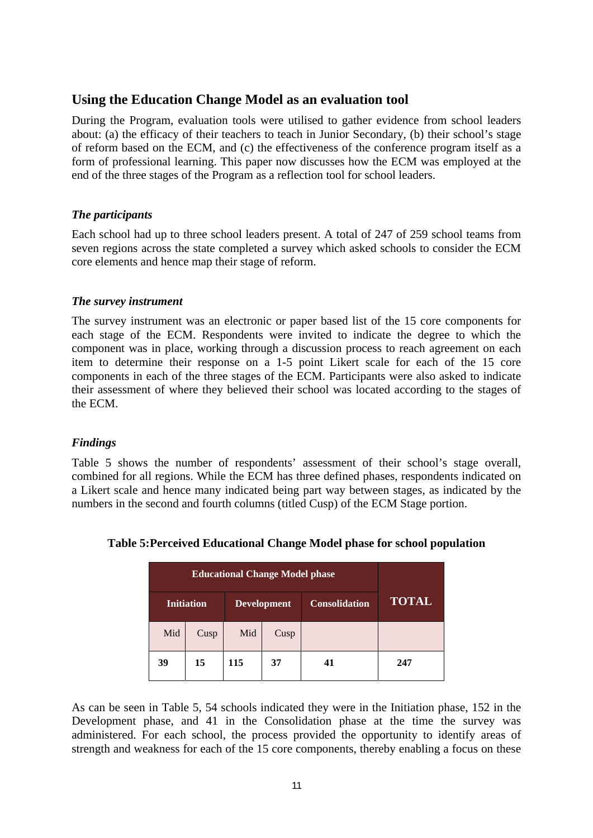# **Using the Education Change Model as an evaluation tool**

During the Program, evaluation tools were utilised to gather evidence from school leaders about: (a) the efficacy of their teachers to teach in Junior Secondary, (b) their school's stage of reform based on the ECM, and (c) the effectiveness of the conference program itself as a form of professional learning. This paper now discusses how the ECM was employed at the end of the three stages of the Program as a reflection tool for school leaders.

#### *The participants*

Each school had up to three school leaders present. A total of 247 of 259 school teams from seven regions across the state completed a survey which asked schools to consider the ECM core elements and hence map their stage of reform.

#### *The survey instrument*

The survey instrument was an electronic or paper based list of the 15 core components for each stage of the ECM. Respondents were invited to indicate the degree to which the component was in place, working through a discussion process to reach agreement on each item to determine their response on a 1-5 point Likert scale for each of the 15 core components in each of the three stages of the ECM. Participants were also asked to indicate their assessment of where they believed their school was located according to the stages of the ECM.

## *Findings*

Table 5 shows the number of respondents' assessment of their school's stage overall, combined for all regions. While the ECM has three defined phases, respondents indicated on a Likert scale and hence many indicated being part way between stages, as indicated by the numbers in the second and fourth columns (titled Cusp) of the ECM Stage portion.

|     | <b>Initiation</b> | <b>Development</b> |      | <b>Consolidation</b> | <b>TOTAL</b> |
|-----|-------------------|--------------------|------|----------------------|--------------|
| Mid | Cusp              | Mid                | Cusp |                      |              |
| 39  | 15                | 115                | 37   | 41                   | 247          |

#### **Table 5: Perceived Educational Change Model phase for school population**

As can be seen in Table 5, 54 schools indicated they were in the Initiation phase, 152 in the Development phase, and 41 in the Consolidation phase at the time the survey was administered. For each school, the process provided the opportunity to identify areas of strength and weakness for each of the 15 core components, thereby enabling a focus on these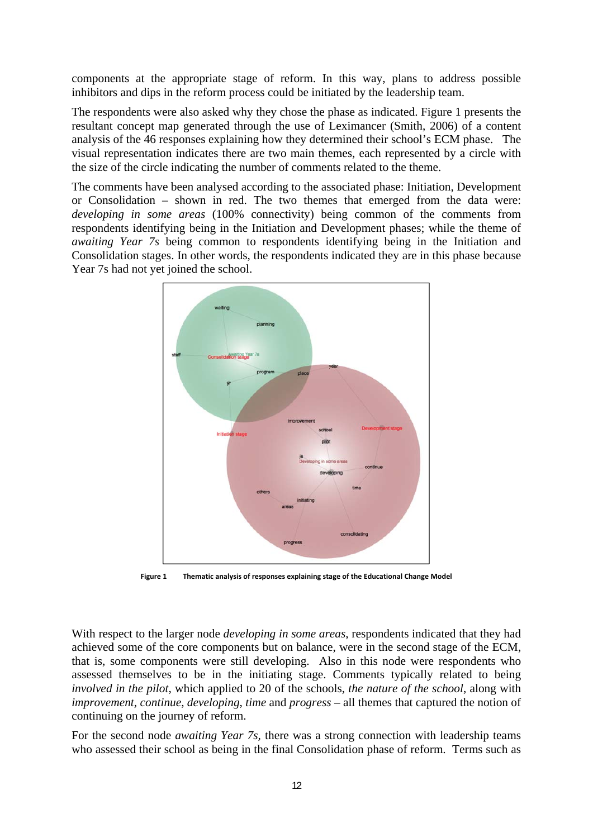components at the appropriate stage of reform. In this way, plans to address possible inhibitors and dips in the reform process could be initiated by the leadership team.

The respondents were also asked why they chose the phase as indicated. Figure 1 presents the resultant concept map generated through the use of Leximancer (Smith, 2006) of a content analysis of the 46 responses explaining how they determined their school's ECM phase. The visual representation indicates there are two main themes, each represented by a circle with the size of the circle indicating the number of comments related to the theme.

The comments have been analysed according to the associated phase: Initiation, Development or Consolidation – shown in red. The two themes that emerged from the data were: *developing in some areas* (100% connectivity) being common of the comments from respondents identifying being in the Initiation and Development phases; while the theme of *awaiting Year 7s* being common to respondents identifying being in the Initiation and Consolidation stages. In other words, the respondents indicated they are in this phase because Year 7s had not yet joined the school.



**Figure 1 Thematic analysis of responses explaining stage of the Educational Change Model**

With respect to the larger node *developing in some areas*, respondents indicated that they had achieved some of the core components but on balance, were in the second stage of the ECM, that is, some components were still developing. Also in this node were respondents who assessed themselves to be in the initiating stage. Comments typically related to being *involved in the pilot*, which applied to 20 of the schools, *the nature of the school*, along with *improvement*, *continue*, *developing*, *time* and *progress* – all themes that captured the notion of continuing on the journey of reform.

For the second node *awaiting Year 7s,* there was a strong connection with leadership teams who assessed their school as being in the final Consolidation phase of reform. Terms such as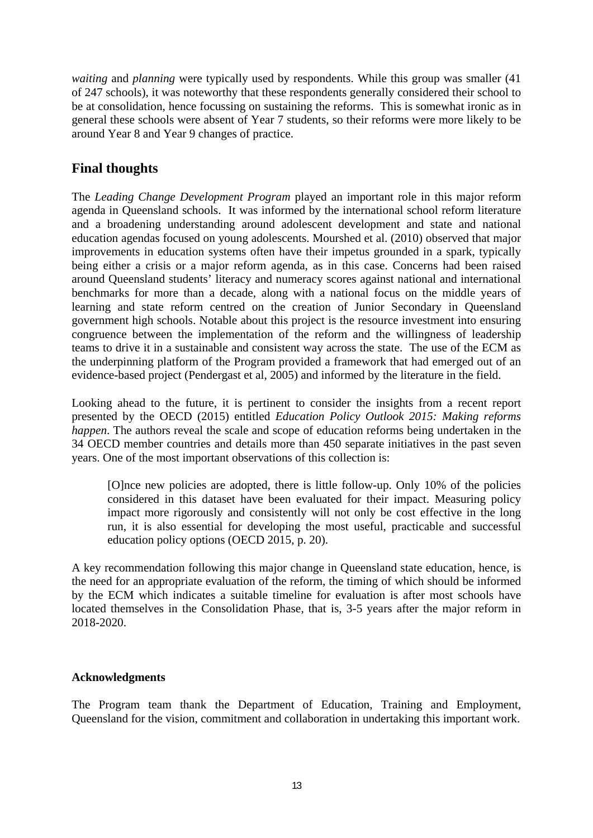*waiting* and *planning* were typically used by respondents. While this group was smaller (41 of 247 schools), it was noteworthy that these respondents generally considered their school to be at consolidation, hence focussing on sustaining the reforms. This is somewhat ironic as in general these schools were absent of Year 7 students, so their reforms were more likely to be around Year 8 and Year 9 changes of practice.

# **Final thoughts**

The *Leading Change Development Program* played an important role in this major reform agenda in Queensland schools. It was informed by the international school reform literature and a broadening understanding around adolescent development and state and national education agendas focused on young adolescents. Mourshed et al. (2010) observed that major improvements in education systems often have their impetus grounded in a spark, typically being either a crisis or a major reform agenda, as in this case. Concerns had been raised around Queensland students' literacy and numeracy scores against national and international benchmarks for more than a decade, along with a national focus on the middle years of learning and state reform centred on the creation of Junior Secondary in Queensland government high schools. Notable about this project is the resource investment into ensuring congruence between the implementation of the reform and the willingness of leadership teams to drive it in a sustainable and consistent way across the state. The use of the ECM as the underpinning platform of the Program provided a framework that had emerged out of an evidence-based project (Pendergast et al, 2005) and informed by the literature in the field.

Looking ahead to the future, it is pertinent to consider the insights from a recent report presented by the OECD (2015) entitled *Education Policy Outlook 2015: Making reforms happen*. The authors reveal the scale and scope of education reforms being undertaken in the 34 OECD member countries and details more than 450 separate initiatives in the past seven years. One of the most important observations of this collection is:

[O]nce new policies are adopted, there is little follow-up. Only 10% of the policies considered in this dataset have been evaluated for their impact. Measuring policy impact more rigorously and consistently will not only be cost effective in the long run, it is also essential for developing the most useful, practicable and successful education policy options (OECD 2015, p. 20).

A key recommendation following this major change in Queensland state education, hence, is the need for an appropriate evaluation of the reform, the timing of which should be informed by the ECM which indicates a suitable timeline for evaluation is after most schools have located themselves in the Consolidation Phase, that is, 3-5 years after the major reform in 2018-2020.

## **Acknowledgments**

The Program team thank the Department of Education, Training and Employment, Queensland for the vision, commitment and collaboration in undertaking this important work.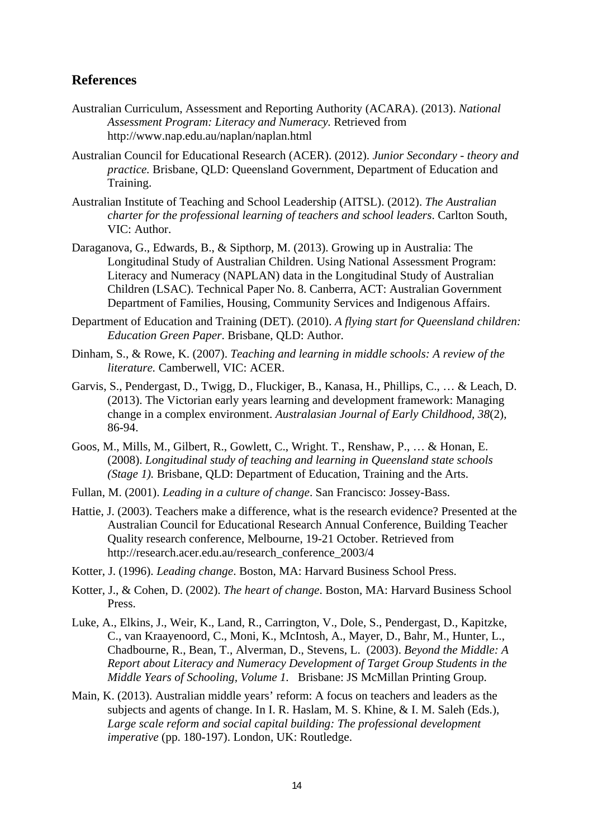#### **References**

- Australian Curriculum, Assessment and Reporting Authority (ACARA). (2013). *National Assessment Program: Literacy and Numeracy.* Retrieved from http://www.nap.edu.au/naplan/naplan.html
- Australian Council for Educational Research (ACER). (2012). *Junior Secondary theory and practice.* Brisbane, QLD: Queensland Government, Department of Education and Training.
- Australian Institute of Teaching and School Leadership (AITSL). (2012). *The Australian charter for the professional learning of teachers and school leaders*. Carlton South, VIC: Author.
- Daraganova, G., Edwards, B., & Sipthorp, M. (2013). Growing up in Australia: The Longitudinal Study of Australian Children. Using National Assessment Program: Literacy and Numeracy (NAPLAN) data in the Longitudinal Study of Australian Children (LSAC). Technical Paper No. 8. Canberra, ACT: Australian Government Department of Families, Housing, Community Services and Indigenous Affairs.
- Department of Education and Training (DET). (2010). *A flying start for Queensland children: Education Green Paper*. Brisbane, QLD: Author.
- Dinham, S., & Rowe, K. (2007). *Teaching and learning in middle schools: A review of the literature.* Camberwell, VIC: ACER.
- Garvis, S., Pendergast, D., Twigg, D., Fluckiger, B., Kanasa, H., Phillips, C., … & Leach, D. (2013). The Victorian early years learning and development framework: Managing change in a complex environment. *Australasian Journal of Early Childhood, 38*(2), 86-94.
- Goos, M., Mills, M., Gilbert, R., Gowlett, C., Wright. T., Renshaw, P., … & Honan, E. (2008). *Longitudinal study of teaching and learning in Queensland state schools (Stage 1).* Brisbane, QLD: Department of Education, Training and the Arts.
- Fullan, M. (2001). *Leading in a culture of change*. San Francisco: Jossey-Bass.
- Hattie, J. (2003). Teachers make a difference, what is the research evidence? Presented at the Australian Council for Educational Research Annual Conference, Building Teacher Quality research conference, Melbourne, 19-21 October. Retrieved from http://research.acer.edu.au/research\_conference\_2003/4
- Kotter, J. (1996). *Leading change*. Boston, MA: Harvard Business School Press.
- Kotter, J., & Cohen, D. (2002). *The heart of change*. Boston, MA: Harvard Business School Press.
- Luke, A., Elkins, J., Weir, K., Land, R., Carrington, V., Dole, S., Pendergast, D., Kapitzke, C., van Kraayenoord, C., Moni, K., McIntosh, A., Mayer, D., Bahr, M., Hunter, L., Chadbourne, R., Bean, T., Alverman, D., Stevens, L. (2003). *Beyond the Middle: A Report about Literacy and Numeracy Development of Target Group Students in the Middle Years of Schooling, Volume 1.* Brisbane: JS McMillan Printing Group.
- Main, K. (2013). Australian middle years' reform: A focus on teachers and leaders as the subjects and agents of change. In I. R. Haslam, M. S. Khine, & I. M. Saleh (Eds.), *Large scale reform and social capital building: The professional development imperative* (pp. 180-197). London, UK: Routledge.